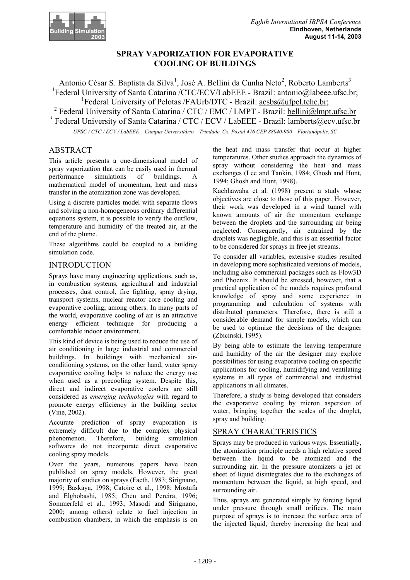

# **SPRAY VAPORIZATION FOR EVAPORATIVE COOLING OF BUILDINGS**

Antonio César S. Baptista da Silva<sup>1</sup>, José A. Bellini da Cunha Neto<sup>2</sup>, Roberto Lamberts<sup>3</sup> <sup>1</sup>Federal University of Santa Catarina /CTC/ECV/LabEEE - Brazil: antonio@labeee.ufsc.br; <sup>1</sup>Federal University of Pelotas /FAUrb/DTC - Brazil: acsbs@ufpel.tche.br;

<sup>2</sup> Federal University of Santa Catarina / CTC / EMC / LMPT - Brazil: bellini@lmpt.ufsc.br <sup>3</sup> Federal University of Santa Catarina / CTC / ECV / LabEEE - Brazil: lamberts@ecv.ufsc.br

*UFSC / CTC / ECV / LabEEE – Campus Universitário – Trindade, Cx. Postal 476 CEP 88040-900 – Florianópolis, SC*

# ABSTRACT

This article presents a one-dimensional model of spray vaporization that can be easily used in thermal performance simulations of buildings. A mathematical model of momentum, heat and mass transfer in the atomization zone was developed.

Using a discrete particles model with separate flows and solving a non-homogeneous ordinary differential equations system, it is possible to verify the outflow, temperature and humidity of the treated air, at the end of the plume.

These algorithms could be coupled to a building simulation code.

## INTRODUCTION

Sprays have many engineering applications, such as, in combustion systems, agricultural and industrial processes, dust control, fire fighting, spray drying, transport systems, nuclear reactor core cooling and evaporative cooling, among others. In many parts of the world, evaporative cooling of air is an attractive energy efficient technique for producing a comfortable indoor environment.

This kind of device is being used to reduce the use of air conditioning in large industrial and commercial buildings. In buildings with mechanical airconditioning systems, on the other hand, water spray evaporative cooling helps to reduce the energy use when used as a precooling system. Despite this, direct and indirect evaporative coolers are still considered as *emerging technologies* with regard to promote energy efficiency in the building sector (Vine, 2002).

Accurate prediction of spray evaporation is extremely difficult due to the complex physical phenomenon. Therefore, building simulation softwares do not incorporate direct evaporative cooling spray models.

Over the years, numerous papers have been published on spray models. However, the great majority of studies on sprays (Faeth, 1983; Sirignano, 1999; Baskaya, 1998; Catoire et al., 1998; Mostafa and Elghobashi, 1985; Chen and Pereira, 1996; Sommerfeld et al., 1993; Masodi and Sirignano, 2000; among others) relate to fuel injection in combustion chambers, in which the emphasis is on

the heat and mass transfer that occur at higher temperatures. Other studies approach the dynamics of spray without considering the heat and mass exchanges (Lee and Tankin, 1984; Ghosh and Hunt, 1994; Ghosh and Hunt, 1998).

Kachhawaha et al. (1998) present a study whose objectives are close to those of this paper. However, their work was developed in a wind tunnel with known amounts of air the momentum exchange between the droplets and the surrounding air being neglected. Consequently, air entrained by the droplets was negligible, and this is an essential factor to be considered for sprays in free jet streams.

To consider all variables, extensive studies resulted in developing more sophisticated versions of models, including also commercial packages such as Flow3D and Phoenix. It should be stressed, however, that a practical application of the models requires profound knowledge of spray and some experience in programming and calculation of systems with distributed parameters. Therefore, there is still a considerable demand for simple models, which can be used to optimize the decisions of the designer (Zbicinski, 1995).

By being able to estimate the leaving temperature and humidity of the air the designer may explore possibilities for using evaporative cooling on specific applications for cooling, humidifying and ventilating systems in all types of commercial and industrial applications in all climates.

Therefore, a study is being developed that considers the evaporative cooling by micron aspersion of water, bringing together the scales of the droplet, spray and building.

## SPRAY CHARACTERISTICS

Sprays may be produced in various ways. Essentially, the atomization principle needs a high relative speed between the liquid to be atomized and the surrounding air. In the pressure atomizers a jet or sheet of liquid disintegrates due to the exchanges of momentum between the liquid, at high speed, and surrounding air.

Thus, sprays are generated simply by forcing liquid under pressure through small orifices. The main purpose of sprays is to increase the surface area of the injected liquid, thereby increasing the heat and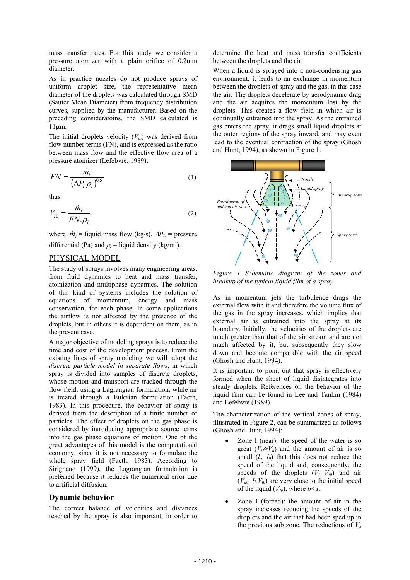mass transfer rates. For this study we consider a pressure atomizer with a plain orifice of 0.2mm diameter.

As in practice nozzles do not produce sprays of uniform droplet size, the representative mean diameter of the droplets was calculated through SMD (Sauter Mean Diameter) from frequency distribution curves, supplied by the manufacturer. Based on the preceding consideratoins, the SMD calculated is 11µm.

The initial droplets velocity  $(V<sub>lo</sub>)$  was derived from flow number terms (FN), and is expressed as the ratio between mass flow and the effective flow area of a pressure atomizer (Lefebvre, 1989):

$$
FN = \frac{\dot{m}_l}{\left(\Delta P_L \rho_l\right)^{0.5}}\tag{1}
$$

thus

$$
V_{l0} = \frac{\dot{m}_l}{FN \cdot \rho_l} \tag{2}
$$

where  $\dot{m}_l$  = liquid mass flow (kg/s),  $\Delta P_L$  = pressure differential (Pa) and  $\rho_l$  = liquid density (kg/m<sup>3</sup>).

#### PHYSICAL MODEL

The study of sprays involves many engineering areas, from fluid dynamics to heat and mass transfer, atomization and multiphase dynamics. The solution of this kind of systems includes the solution of equations of momentum, energy and mass conservation, for each phase. In some applications the airflow is not affected by the presence of the droplets, but in others it is dependent on them, as in the present case.

A major objective of modeling sprays is to reduce the time and cost of the development process. From the existing lines of spray modeling we will adopt the *discrete particle model in separate flows*, in which spray is divided into samples of discrete droplets, whose motion and transport are tracked through the flow field, using a Lagrangian formulation, while air is treated through a Eulerian formulation (Faeth, 1983). In this procedure, the behavior of spray is derived from the description of a finite number of particles. The effect of droplets on the gas phase is considered by introducing appropriate source terms into the gas phase equations of motion. One of the great advantages of this model is the computational economy, since it is not necessary to formulate the whole spray field (Faeth, 1983). According to Sirignano (1999), the Lagrangian formulation is preferred because it reduces the numerical error due to artificial diffusion.

#### **Dynamic behavior**

The correct balance of velocities and distances reached by the spray is also important, in order to

determine the heat and mass transfer coefficients between the droplets and the air.

When a liquid is sprayed into a non-condensing gas environment, it leads to an exchange in momentum between the droplets of spray and the gas, in this case the air. The droplets decelerate by aerodynamic drag and the air acquires the momentum lost by the droplets. This creates a flow field in which air is continually entrained into the spray. As the entrained gas enters the spray, it drags small liquid droplets at the outer regions of the spray inward, and may even lead to the eventual contraction of the spray (Ghosh and Hunt, 1994), as shown in Figure 1.



*Figure 1 Schematic diagram of the zones and breakup of the typical liquid film of a spray* 

As in momentum jets the turbulence drags the external flow with it and therefore the volume flux of the gas in the spray increases, which implies that external air is entrained into the spray at its boundary. Initially, the velocities of the droplets are much greater than that of the air stream and are not much affected by it, but subsequently they slow down and become comparable with the air speed (Ghosh and Hunt, 1994).

It is important to point out that spray is effectively formed when the sheet of liquid disintegrates into steady droplets. References on the behavior of the liquid film can be found in Lee and Tankin (1984) and Lefebvre (1989).

The characterization of the vertical zones of spray, illustrated in Figure 2, can be summarized as follows (Ghosh and Hunt, 1994):

- Zone I (near): the speed of the water is so great  $(V_1 \gg V_0)$  and the amount of air is so small  $(l_a=l_0)$  that this does not reduce the speed of the liquid and, consequently, the speeds of the droplets  $(V_l=V_{l0})$  and air  $(V_{a0}=b,V_{10})$  are very close to the initial speed of the liquid  $(V_{10})$ , where  $b < 1$ .
- Zone I (forced): the amount of air in the spray increases reducing the speeds of the droplets and the air that had been sped up in the previous sub zone. The reductions of  $V_a$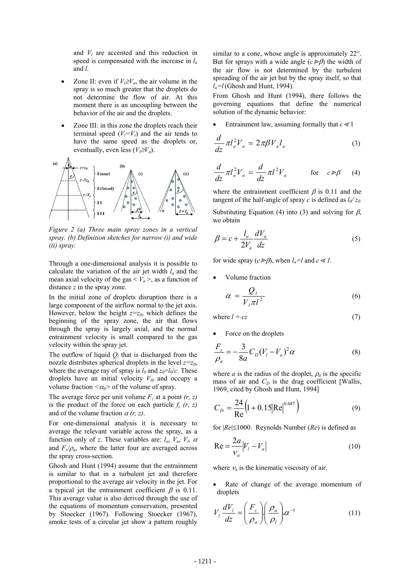and  $V_l$  are accented and this reduction in speed is compensated with the increase in *la* and *l*.

- Zone II: even if  $V_l \geq V_a$ , the air volume in the spray is so much greater that the droplets do not determine the flow of air. At this moment there is an uncoupling between the behavior of the air and the droplets.
- Zone III: in this zone the droplets reach their terminal speed  $(V<sub>I</sub>=V<sub>I</sub>)$  and the air tends to have the same speed as the droplets or, eventually, even less  $(V_1 \geq V_a)$ .



*Figure 2 (a) Three main spray zones in a vertical spray. (b) Definition sketches for narrow (i) and wide (ii) spray.* 

Through a one-dimensional analysis it is possible to calculate the variation of the air jet width *la* and the mean axial velocity of the gas  $\langle V_a \rangle$ , as a function of distance *z* in the spray zone.

In the initial zone of droplets disruption there is a large component of the airflow normal to the jet axis. However, below the height  $z=z_0$ , which defines the beginning of the spray zone, the air that flows through the spray is largely axial, and the normal entrainment velocity is small compared to the gas velocity within the spray jet.

The outflow of liquid  $Q_l$  that is discharged from the nozzle distributes spherical droplets in the level  $z=z_0$ , where the average ray of spray is  $l_0$  and  $z_0 = l_0/c$ . These droplets have an initial velocity  $V_{10}$  and occupy a volume fraction  $\langle \alpha_0 \rangle$  of the volume of spray.

The average force per unit volume  $F_z$  at a point  $(r, z)$ is the product of the force on each particle  $f_z(r, z)$ and of the volume fraction  $\alpha(r, z)$ .

For one-dimensional analysis it is necessary to average the relevant variable across the spray, as a function only of *z*. These variables are:  $l_a$ ,  $V_a$ ,  $V_l$ ,  $\alpha$ and  $F_z/\rho_a$ , where the latter four are averaged across the spray cross-section.

Ghosh and Hunt (1994) assume that the entrainment is similar to that in a turbulent jet and therefore proportional to the average air velocity in the jet. For a typical jet the entrainment coefficient  $\beta$  is 0.11. This average value is also derived through the use of the equations of momentum conservation, presented by Stoecker (1967). Following Stoecker (1967), smoke tests of a circular jet show a pattern roughly similar to a cone, whose angle is approximately 22°. But for sprays with a wide angle  $(c \geq \beta)$  the width of the air flow is not determined by the turbulent spreading of the air jet but by the spray itself, so that  $l_a = l$  (Ghosh and Hunt, 1994).

From Ghosh and Hunt (1994), there follows the governing equations that define the numerical solution of the dynamic behavior:

Entrainment law, assuming formally that  $c \ll 1$ 

$$
\frac{d}{dz}\pi l_a^2 V_a = 2\pi \beta V_a l_a \tag{3}
$$

$$
\frac{d}{dz}\pi l_a^2 V_a = \frac{d}{dz}\pi l^2 V_a \qquad \text{for} \quad c \gg \beta \tag{4}
$$

where the entrainment coefficient  $\beta$  is 0.11 and the tangent of the half-angle of spray *c* is defined as  $l_0$   $z_0$ .

Substituting Equation (4) into (3) and solving for  $\beta$ , we obtain

$$
\beta = c + \frac{l_a}{2V_a} \frac{dV_a}{dz} \tag{5}
$$

for wide spray  $(c \geq \beta)$ , when  $l_a = l$  and  $c \ll l$ .

• Volume fraction

$$
\alpha = \frac{Q_l}{V_l \pi l^2} \tag{6}
$$

where 
$$
l = cz
$$
 (7)

Force on the droplets

$$
\frac{F_z}{\rho_a} = -\frac{3}{8a} C_D (V_l - V_a)^2 \alpha
$$
 (8)

where *a* is the radius of the droplet,  $\rho_a$  is the specific mass of air and  $C_D$  is the drag coefficient [Wallis, 1969, cited by Ghosh and Hunt, 1994]

$$
C_D = \frac{24}{\text{Re}} \left( 1 + 0.15 |\text{Re}|^{0.687} \right)
$$
 (9)

for |*Re*|≤1000. Reynolds Number (*Re*) is defined as

$$
\text{Re} = \frac{2a}{v_a} |V_i - V_a| \tag{10}
$$

where  $v_a$  is the kinematic viscosity of air.

Rate of change of the average momentum of droplets

$$
V_l \frac{dV_l}{dz} = \left(\frac{F_z}{\rho_a}\right) \left(\frac{\rho_a}{\rho_l}\right) \alpha^{-1}
$$
 (11)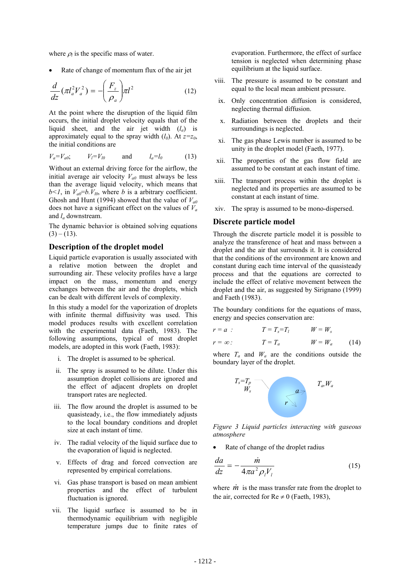where  $\rho_l$  is the specific mass of water.

Rate of change of momentum flux of the air jet

$$
\frac{d}{dz}(\pi l_a^2 V_a^2) = -\left(\frac{F_z}{\rho_a}\right) \pi l^2 \tag{12}
$$

At the point where the disruption of the liquid film occurs, the initial droplet velocity equals that of the liquid sheet, and the air jet width (*la*) is approximately equal to the spray width  $(l_0)$ . At  $z=z_0$ , the initial conditions are

$$
V_a = V_{a0}; \t V_l = V_{l0} \t \text{and} \t l_a = l_0 \t (13)
$$

Without an external driving force for the airflow, the initial average air velocity  $V_{a0}$  must always be less than the average liquid velocity, which means that  $b < 1$ , in  $V_{a0} = b$ .  $V_{l0}$ , where *b* is a arbitrary coefficient. Ghosh and Hunt (1994) showed that the value of  $V_{a0}$ does not have a significant effect on the values of *Va* and *la* downstream.

The dynamic behavior is obtained solving equations  $(3) - (13)$ .

### **Description of the droplet model**

Liquid particle evaporation is usually associated with a relative motion between the droplet and surrounding air. These velocity profiles have a large impact on the mass, momentum and energy exchanges between the air and the droplets, which can be dealt with different levels of complexity.

In this study a model for the vaporization of droplets with infinite thermal diffusivity was used. This model produces results with excellent correlation with the experimental data (Faeth, 1983). The following assumptions, typical of most droplet models, are adopted in this work (Faeth, 1983):

- i. The droplet is assumed to be spherical.
- ii. The spray is assumed to be dilute. Under this assumption droplet collisions are ignored and the effect of adjacent droplets on droplet transport rates are neglected.
- iii. The flow around the droplet is assumed to be quasisteady, i.e., the flow immediately adjusts to the local boundary conditions and droplet size at each instant of time.
- iv. The radial velocity of the liquid surface due to the evaporation of liquid is neglected.
- v. Effects of drag and forced convection are represented by empirical correlations.
- vi. Gas phase transport is based on mean ambient properties and the effect of turbulent fluctuation is ignored.
- vii. The liquid surface is assumed to be in thermodynamic equilibrium with negligible temperature jumps due to finite rates of

evaporation. Furthermore, the effect of surface tension is neglected when determining phase equilibrium at the liquid surface.

- viii. The pressure is assumed to be constant and equal to the local mean ambient pressure.
- ix. Only concentration diffusion is considered, neglecting thermal diffusion.
- x. Radiation between the droplets and their surroundings is neglected.
- xi. The gas phase Lewis number is assumed to be unity in the droplet model (Faeth, 1977).
- xii. The properties of the gas flow field are assumed to be constant at each instant of time.
- xiii. The transport process within the droplet is neglected and its properties are assumed to be constant at each instant of time.
- xiv. The spray is assumed to be mono-dispersed.

#### **Discrete particle model**

Through the discrete particle model it is possible to analyze the transference of heat and mass between a droplet and the air that surrounds it. It is considered that the conditions of the environment are known and constant during each time interval of the quasisteady process and that the equations are corrected to include the effect of relative movement between the droplet and the air, as suggested by Sirignano (1999) and Faeth (1983).

The boundary conditions for the equations of mass, energy and species conservation are:

$$
r = a : \t T = T_s = T_l \t W = W_s
$$
  
\n
$$
r = \infty : \t T = T_a \t W = W_a \t (14)
$$

where  $T_a$  and  $W_a$  are the conditions outside the boundary layer of the droplet.



*Figure 3 Liquid particles interacting with gaseous atmosphere* 

Rate of change of the droplet radius

$$
\frac{da}{dz} = -\frac{\dot{m}}{4\pi a^2 \rho_l V_l} \tag{15}
$$

where  $\dot{m}$  is the mass transfer rate from the droplet to the air, corrected for  $Re \neq 0$  (Faeth, 1983),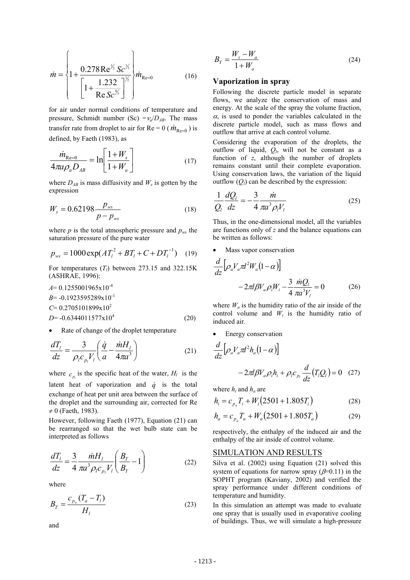$$
\dot{m} = \left\{ 1 + \frac{0.278 \operatorname{Re} \frac{1}{2} \operatorname{Sc} \frac{1}{2}}{\left[ 1 + \frac{1.232}{\operatorname{Re} \operatorname{Sc} \frac{1}{2}} \right]^{\frac{1}{2}}} \right\} \dot{m}_{\text{Re}=0} \tag{16}
$$

for air under normal conditions of temperature and pressure, Schmidt number (Sc)  $=v_a/D_{AB}$ . The mass transfer rate from droplet to air for  $Re = 0$  ( $\dot{m}_{Re=0}$ ) is defined, by Faeth (1983), as

$$
\frac{\dot{m}_{\text{Re}=0}}{4\pi a \rho_a D_{AB}} = \ln\left[\frac{1 + W_s}{1 + W_a}\right]
$$
(17)

where  $D_{AB}$  is mass diffusivity and  $W_s$  is gotten by the expression

$$
W_s = 0.62198 \frac{p_{ws}}{p - p_{ws}}
$$
 (18)

where  $p$  is the total atmospheric pressure and  $p_{ws}$  the saturation pressure of the pure water

$$
p_{ws} = 1000 \exp(A T_l^2 + B T_l + C + D T_l^{-1}) \quad (19)
$$

For temperatures  $(T_l)$  between 273.15 and 322.15K (ASHRAE, 1996):

$$
A= 0.1255001965 \times 10^{-4}
$$
  
\n
$$
B= -0.1923595289 \times 10^{-1}
$$
  
\n
$$
C= 0.2705101899 \times 10^{2}
$$
  
\n
$$
D= -0.6344011577 \times 10^{4}
$$
 (20)

Rate of change of the droplet temperature

$$
\frac{dT_l}{dz} = \frac{3}{\rho_l c_{p_l} V_l} \left( \frac{\dot{q}}{a} - \frac{\dot{m} H_l}{4\pi a^3} \right) \tag{21}
$$

where  $c_n$  is the specific heat of the water,  $H_l$  is the latent heat of vaporization and  $\dot{q}$  is the total exchange of heat per unit area between the surface of the droplet and the surrounding air, corrected for Re  $\neq 0$  (Faeth, 1983).

However, following Faeth (1977), Equation (21) can be rearranged so that the wet bulb state can be interpreted as follows

$$
\frac{dT_l}{dz} = \frac{3}{4} \frac{\dot{m} H_l}{\pi a^3 \rho_l c_{p_l} V_l} \left( \frac{B_T}{B_Y} - 1 \right)
$$
(22)

where

$$
B_T = \frac{c_{p_a}(T_a - T_l)}{H_l}
$$
 (23)

and

$$
B_Y = \frac{W_s - W_a}{1 + W_a} \tag{24}
$$

#### **Vaporization in spray**

Following the discrete particle model in separate flows, we analyze the conservation of mass and energy. At the scale of the spray the volume fraction,  $\alpha$ , is used to ponder the variables calculated in the discrete particle model, such as mass flows and outflow that arrive at each control volume.

Considering the evaporation of the droplets, the outflow of liquid,  $Q_l$ , will not be constant as a function of *z*, although the number of droplets remains constant until their complete evaporation. Using conservation laws, the variation of the liquid outflow  $(Q_l)$  can be described by the expression:

$$
\frac{1}{Q_l}\frac{dQ_l}{dz} = -\frac{3}{4}\frac{\dot{m}}{\pi a^3 \rho_l V_l} \tag{25}
$$

Thus, in the one-dimensional model, all the variables are functions only of *z* and the balance equations can be written as follows:

Mass vapor conservation

$$
\frac{d}{dz} \Big[ \rho_a V_a \pi l^2 W_a (1 - \alpha) \Big]
$$
  
- 2\pi l \beta V\_a \rho\_i W\_i - \frac{3}{4} \frac{\dot{m} Q\_l}{\pi a^3 V\_l} = 0 \t(26)

where  $W_a$  is the humidity ratio of the air inside of the control volume and *Wi* is the humidity ratio of induced air.

Energy conservation

$$
\frac{d}{dz} \Big[ \rho_a V_a \pi l^2 h_a (1 - \alpha) \Big]
$$
  
- 2\pi l \beta V\_a \rho\_i h\_i + \rho\_i c\_{p\_i} \frac{d}{dz} (T\_i Q\_i) = 0 (27)

where  $h_i$  and  $h_a$  are

$$
h_i = c_{p_a} T_i + W_i (2501 + 1.805T_i)
$$
 (28)

$$
h_a = c_{p_a} T_a + W_a (2501 + 1.805 T_a)
$$
 (29)

respectively, the enthalpy of the induced air and the enthalpy of the air inside of control volume.

#### SIMULATION AND RESULTS

Silva et al. (2002) using Equation (21) solved this system of equations for narrow spray ( $\beta$ =0.11) in the SOPHT program (Kaviany, 2002) and verified the spray performance under different conditions of temperature and humidity.

In this simulation an attempt was made to evaluate one spray that is usually used in evaporative cooling of buildings. Thus, we will simulate a high-pressure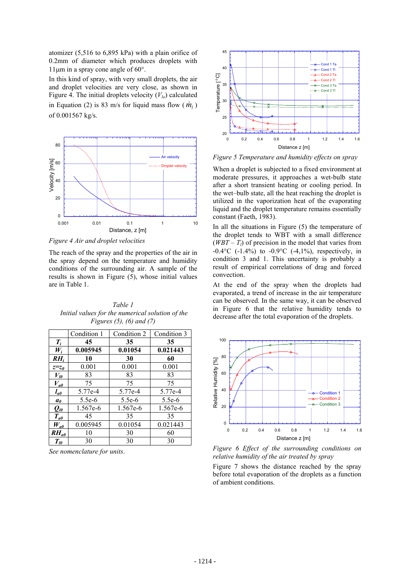atomizer (5,516 to 6,895 kPa) with a plain orifice of 0.2mm of diameter which produces droplets with 11µm in a spray cone angle of 60°.

In this kind of spray, with very small droplets, the air and droplet velocities are very close, as shown in Figure 4. The initial droplets velocity  $(V<sub>10</sub>)$  calculated in Equation (2) is 83 m/s for liquid mass flow  $(\dot{m}_l)$ of 0.001567 kg/s.



*Figure 4 Air and droplet velocities* 

The reach of the spray and the properties of the air in the spray depend on the temperature and humidity conditions of the surrounding air. A sample of the results is shown in Figure (5), whose initial values are in Table 1.

*Table 1 Initial values for the numerical solution of the Figures (5), (6) and (7)*

|                             | Condition 1 | Condition 2 | Condition 3 |
|-----------------------------|-------------|-------------|-------------|
| $T_i$                       | 45          | 35          | 35          |
| $W_i$                       | 0.005945    | 0.01054     | 0.021443    |
| $RH_i$                      | 10          | 30          | 60          |
| $z=z_0$                     | 0.001       | 0.001       | 0.001       |
| $V_{l0}$                    | 83          | 83          | 83          |
| $V_{a0}$                    | 75          | 75          | 75          |
| $l_{a0}$                    | 5.77e-4     | 5.77e-4     | 5.77e-4     |
| a <sub>0</sub>              | $5.5e-6$    | $5.5e-6$    | $5.5e-6$    |
| $\mathcal{Q}_{\textit{IO}}$ | 1.567e-6    | 1.567e-6    | 1.567e-6    |
| $T_{a0}$                    | 45          | 35          | 35          |
| $W_{a0}$                    | 0.005945    | 0.01054     | 0.021443    |
| $RH_{a0}$                   | 10          | 30          | 60          |
| $T_{l0}$                    | 30          | 30          | 30          |

*See nomenclature for units*.



*Figure 5 Temperature and humidity effects on spray* 

When a droplet is subjected to a fixed environment at moderate pressures, it approaches a wet-bulb state after a short transient heating or cooling period. In the wet–bulb state, all the heat reaching the droplet is utilized in the vaporization heat of the evaporating liquid and the droplet temperature remains essentially constant (Faeth, 1983).

In all the situations in Figure (5) the temperature of the droplet tends to WBT with a small difference  $(WBT - T_l)$  of precision in the model that varies from  $-0.4$ °C ( $-1.4$ %) to  $-0.9$ °C ( $-4.1$ %), respectively, in condition 3 and 1. This uncertainty is probably a result of empirical correlations of drag and forced convection.

At the end of the spray when the droplets had evaporated, a trend of increase in the air temperature can be observed. In the same way, it can be observed in Figure 6 that the relative humidity tends to decrease after the total evaporation of the droplets.



*Figure 6 Effect of the surrounding conditions on relative humidity of the air treated by spray* 

Figure 7 shows the distance reached by the spray before total evaporation of the droplets as a function of ambient conditions.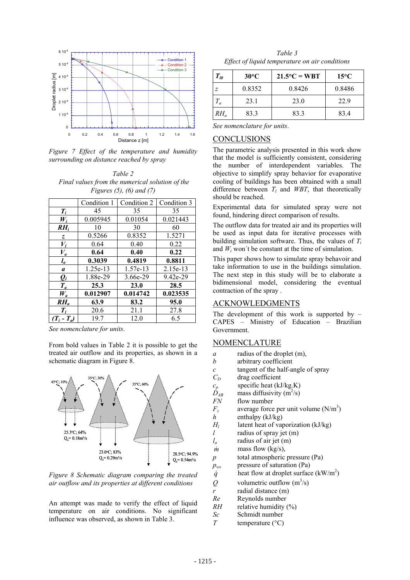

*Figure 7 Effect of the temperature and humidity surrounding on distance reached by spray* 

*Table 2 Final values from the numerical solution of the Figures (5), (6) and (7)*

|                | Condition 1 | Condition 2 | Condition 3 |
|----------------|-------------|-------------|-------------|
| $T_i$          | 45          | 35          | 35          |
| $W_i$          | 0.005945    | 0.01054     | 0.021443    |
| $RH_i$         | 10          | 30          | 60          |
| Z.             | 0.5266      | 0.8352      | 1.5271      |
| $V_I$          | 0.64        | 0.40        | 0.22        |
| $V_a$          | 0.64        | 0.40        | 0.22        |
| $l_a$          | 0.3039      | 0.4819      | 0.8811      |
| a              | 1.25e-13    | 1.57e-13    | $2.15e-13$  |
| $\mathbf{Q}_l$ | 1.88e-29    | 3.66e-29    | 9.42e-29    |
| $T_a$          | 25.3        | 23.0        | 28.5        |
| $W_a$          | 0.012907    | 0.014742    | 0.023535    |
| $RH_a$         | 63.9        | 83.2        | 95.0        |
| $T_{l}$        | 20.6        | 21.1        | 27.8        |
| $(T_i-T_a)$    | 19.7        | 12.0        | 6.5         |

*See nomenclature for units*.

From bold values in Table 2 it is possible to get the treated air outflow and its properties, as shown in a schematic diagram in Figure 8.



*Figure 8 Schematic diagram comparing the treated air outflow and its properties at different conditions*

An attempt was made to verify the effect of liquid temperature on air conditions. No significant influence was observed, as shown in Table 3.

*Table 3 Effect of liquid temperature on air conditions* 

| $T_{l0}$ | $30^{\circ}$ C | $21.5^{\circ}C = WBT$ | $15^{\circ}$ C |
|----------|----------------|-----------------------|----------------|
| Ζ        | 0.8352         | 0.8426                | 0.8486         |
| $T_a$    | 23.1           | 23.0                  | 22.9           |
| $RH_a$   | 83.3           | 83.3                  | 83.4           |

*See nomenclature for units*.

### CONCLUSIONS

The parametric analysis presented in this work show that the model is sufficiently consistent, considering the number of interdependent variables. The objective to simplify spray behavior for evaporative cooling of buildings has been obtained with a small difference between  $T_l$  and *WBT*, that theoretically should be reached.

Experimental data for simulated spray were not found, hindering direct comparison of results.

The outflow data for treated air and its properties will be used as input data for iterative processes with building simulation software. Thus, the values of  $T_i$ and  $W_i$  won't be constant at the time of simulation.

This paper shows how to simulate spray behavoir and take information to use in the buildings simulation. The next step in this study will be to elaborate a bidimensional model, considering the eventual contraction of the spray .

#### ACKNOWLEDGMENTS

The development of this work is supported by  $-$ CAPES – Ministry of Education – Brazilian Government.

# **NOMENCLATURE**

- *a* radius of the droplet (m),
- *b* arbitrary coefficient
- *c* tangent of the half-angle of spray
- $C_D$  drag coefficient
- $c_p$  specific heat (kJ/kg.K)<br> $D_{AB}$  mass diffusivity (m<sup>2</sup>/s)
- $\dot{D}_{AB}$  mass diffusivity (m<sup>2</sup>/s)
- *FN* flow number
- $F_z$  average force per unit volume  $(N/m^3)$
- *h* enthalpy (kJ/kg)
- *H<sub>l</sub>* latent heat of vaporization (kJ/kg)
- *l* radius of spray jet (m)
- *la* radius of air jet (m)
- $\dot{m}$  mass flow (kg/s),
- *p* total atmospheric pressure (Pa)
- *pws* pressure of saturation (Pa)
- *q* heat flow at droplet surface  $(kW/m^2)$
- *Q* volumetric outflow  $(m^3/s)$
- *r* radial distance (m)
- *Re* Reynolds number
- *RH* relative humidity  $(^{9}$ <sub>6</sub>)
- *Sc* Schmidt number
- *T* temperature (°C)